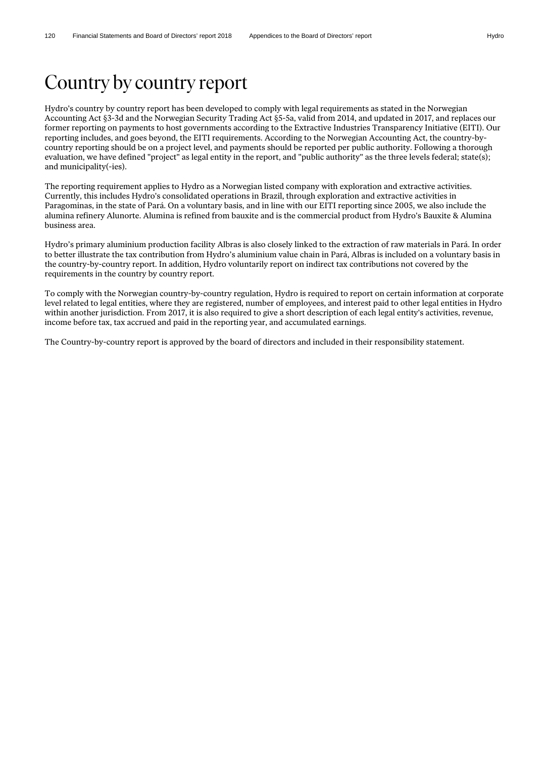# Country by country report

Hydro's country by country report has been developed to comply with legal requirements as stated in the Norwegian Accounting Act §3-3d and the Norwegian Security Trading Act §5-5a, valid from 2014, and updated in 2017, and replaces our former reporting on payments to host governments according to the Extractive Industries Transparency Initiative (EITI). Our reporting includes, and goes beyond, the EITI requirements. According to the Norwegian Accounting Act, the country-bycountry reporting should be on a project level, and payments should be reported per public authority. Following a thorough evaluation, we have defined "project" as legal entity in the report, and "public authority" as the three levels federal; state(s); and municipality(-ies).

The reporting requirement applies to Hydro as a Norwegian listed company with exploration and extractive activities. Currently, this includes Hydro's consolidated operations in Brazil, through exploration and extractive activities in Paragominas, in the state of Pará. On a voluntary basis, and in line with our EITI reporting since 2005, we also include the alumina refinery Alunorte. Alumina is refined from bauxite and is the commercial product from Hydro's Bauxite & Alumina business area.

Hydro's primary aluminium production facility Albras is also closely linked to the extraction of raw materials in Pará. In order to better illustrate the tax contribution from Hydro's aluminium value chain in Pará, Albras is included on a voluntary basis in the country-by-country report. In addition, Hydro voluntarily report on indirect tax contributions not covered by the requirements in the country by country report.

To comply with the Norwegian country-by-country regulation, Hydro is required to report on certain information at corporate level related to legal entities, where they are registered, number of employees, and interest paid to other legal entities in Hydro within another jurisdiction. From 2017, it is also required to give a short description of each legal entity's activities, revenue, income before tax, tax accrued and paid in the reporting year, and accumulated earnings.

The Country-by-country report is approved by the board of directors and included in their responsibility statement.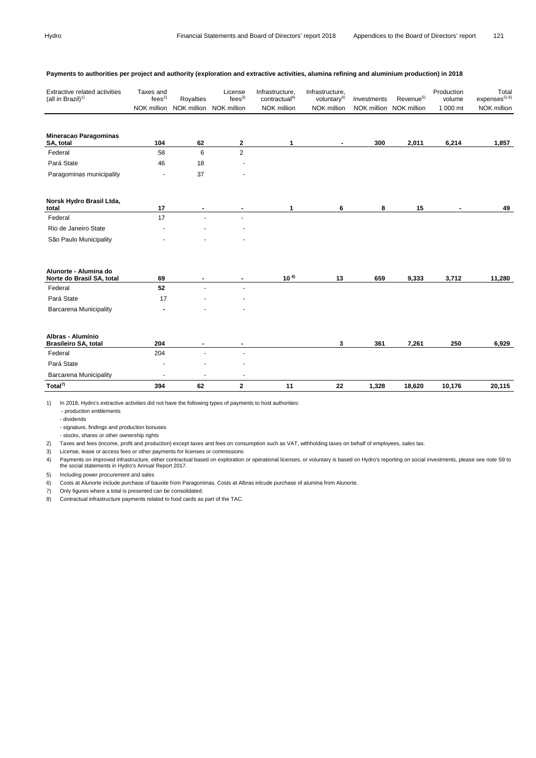| Extractive related activities<br>(all in Brazil) $1$ | Taxes and<br>fees <sup>2</sup><br>NOK million | Royalties<br>NOK million NOK million | License<br>fees <sup>3</sup> | Infrastructure,<br>contractual <sup>4)</sup><br>NOK million | Infrastructure,<br>voluntar $v^{4)}$<br>NOK million | Investments | Revenue <sup>5)</sup><br>NOK million NOK million | Production<br>volume<br>1 000 mt | Total<br>expenses $^{5)}$ <sup>6)</sup><br>NOK million |
|------------------------------------------------------|-----------------------------------------------|--------------------------------------|------------------------------|-------------------------------------------------------------|-----------------------------------------------------|-------------|--------------------------------------------------|----------------------------------|--------------------------------------------------------|
| <b>Mineracao Paragominas</b><br>SA, total            | 104                                           | 62                                   | 2                            | 1                                                           | $\sim$                                              | 300         | 2,011                                            | 6,214                            | 1,857                                                  |
| Federal                                              | 58                                            | 6                                    | $\overline{2}$               |                                                             |                                                     |             |                                                  |                                  |                                                        |
| Pará State                                           | 46                                            | 18                                   |                              |                                                             |                                                     |             |                                                  |                                  |                                                        |
| Paragominas municipality                             |                                               | 37                                   |                              |                                                             |                                                     |             |                                                  |                                  |                                                        |
| Norsk Hydro Brasil Ltda,<br>total                    | 17                                            |                                      |                              | 1                                                           | 6                                                   | 8           | 15                                               |                                  | 49                                                     |
| Federal                                              | 17                                            | $\blacksquare$                       |                              |                                                             |                                                     |             |                                                  |                                  |                                                        |
| Rio de Janeiro State                                 |                                               |                                      |                              |                                                             |                                                     |             |                                                  |                                  |                                                        |
| São Paulo Municipality                               |                                               |                                      |                              |                                                             |                                                     |             |                                                  |                                  |                                                        |
| Alunorte - Alumina do<br>Norte do Brasil SA, total   | 69                                            |                                      | ٠                            | $10^{8}$                                                    | 13                                                  | 659         | 9,333                                            | 3,712                            | 11,280                                                 |
| Federal                                              | 52                                            |                                      |                              |                                                             |                                                     |             |                                                  |                                  |                                                        |
| Pará State                                           | 17                                            |                                      |                              |                                                             |                                                     |             |                                                  |                                  |                                                        |
| <b>Barcarena Municipality</b>                        |                                               |                                      |                              |                                                             |                                                     |             |                                                  |                                  |                                                        |
| Albras - Alumínio<br><b>Brasileiro SA, total</b>     | 204                                           |                                      |                              |                                                             | 3                                                   | 361         | 7,261                                            | 250                              | 6,929                                                  |
| Federal                                              | 204                                           |                                      | $\ddot{\phantom{1}}$         |                                                             |                                                     |             |                                                  |                                  |                                                        |
| Pará State                                           |                                               |                                      |                              |                                                             |                                                     |             |                                                  |                                  |                                                        |
| <b>Barcarena Municipality</b>                        |                                               |                                      |                              |                                                             |                                                     |             |                                                  |                                  |                                                        |
| Total <sup>7)</sup>                                  | 394                                           | 62                                   | $\mathbf{2}$                 | 11                                                          | 22                                                  | 1,328       | 18,620                                           | 10,176                           | 20,115                                                 |

#### **Payments to authorities per project and authority (exploration and extractive activities, alumina refining and aluminium production) in 2018**

1) In 2018, Hydro's extractive activities did not have the following types of payments to host authorities:

- production entitlements

- dividends

- signature, findings and production bonuses

- stocks, shares or other ownership rights

2) Taxes and fees (income, profit and production) except taxes and fees on consumption such as VAT, withholding taxes on behalf of employees, sales tax.

3) License, lease or access fees or other payments for licenses or commissions

4) Payments on improved infrastructure, either contractual based on exploration or operational licenses, or voluntary is based on Hydro's reporting on social investments, please see note S9 to the social statements in Hydro's Annual Report 2017.

5) Including power procurement and sales

6) Costs at Alunorte include purchase of bauxite from Paragominas. Costs at Albras inlcude purchase of alumina from Alunorte.

7) Only figures where a total is presented can be consolidated.

8) Contractual infrastructure payments related to food cards as part of the TAC.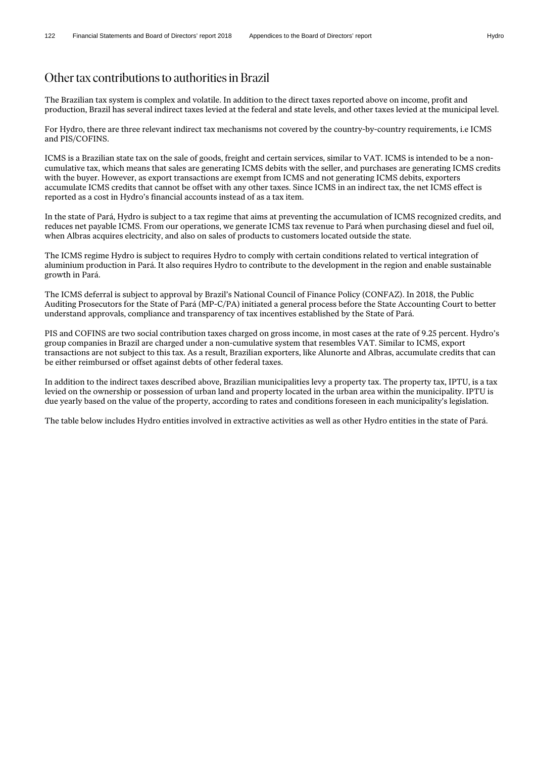## Other tax contributions to authorities in Brazil

The Brazilian tax system is complex and volatile. In addition to the direct taxes reported above on income, profit and production, Brazil has several indirect taxes levied at the federal and state levels, and other taxes levied at the municipal level.

For Hydro, there are three relevant indirect tax mechanisms not covered by the country-by-country requirements, i.e ICMS and PIS/COFINS.

ICMS is a Brazilian state tax on the sale of goods, freight and certain services, similar to VAT. ICMS is intended to be a noncumulative tax, which means that sales are generating ICMS debits with the seller, and purchases are generating ICMS credits with the buyer. However, as export transactions are exempt from ICMS and not generating ICMS debits, exporters accumulate ICMS credits that cannot be offset with any other taxes. Since ICMS in an indirect tax, the net ICMS effect is reported as a cost in Hydro's financial accounts instead of as a tax item.

In the state of Pará, Hydro is subject to a tax regime that aims at preventing the accumulation of ICMS recognized credits, and reduces net payable ICMS. From our operations, we generate ICMS tax revenue to Pará when purchasing diesel and fuel oil, when Albras acquires electricity, and also on sales of products to customers located outside the state.

The ICMS regime Hydro is subject to requires Hydro to comply with certain conditions related to vertical integration of aluminium production in Pará. It also requires Hydro to contribute to the development in the region and enable sustainable growth in Pará.

The ICMS deferral is subject to approval by Brazil's National Council of Finance Policy (CONFAZ). In 2018, the Public Auditing Prosecutors for the State of Pará (MP-C/PA) initiated a general process before the State Accounting Court to better understand approvals, compliance and transparency of tax incentives established by the State of Pará.

PIS and COFINS are two social contribution taxes charged on gross income, in most cases at the rate of 9.25 percent. Hydro's group companies in Brazil are charged under a non-cumulative system that resembles VAT. Similar to ICMS, export transactions are not subject to this tax. As a result, Brazilian exporters, like Alunorte and Albras, accumulate credits that can be either reimbursed or offset against debts of other federal taxes.

In addition to the indirect taxes described above, Brazilian municipalities levy a property tax. The property tax, IPTU, is a tax levied on the ownership or possession of urban land and property located in the urban area within the municipality. IPTU is due yearly based on the value of the property, according to rates and conditions foreseen in each municipality's legislation.

The table below includes Hydro entities involved in extractive activities as well as other Hydro entities in the state of Pará.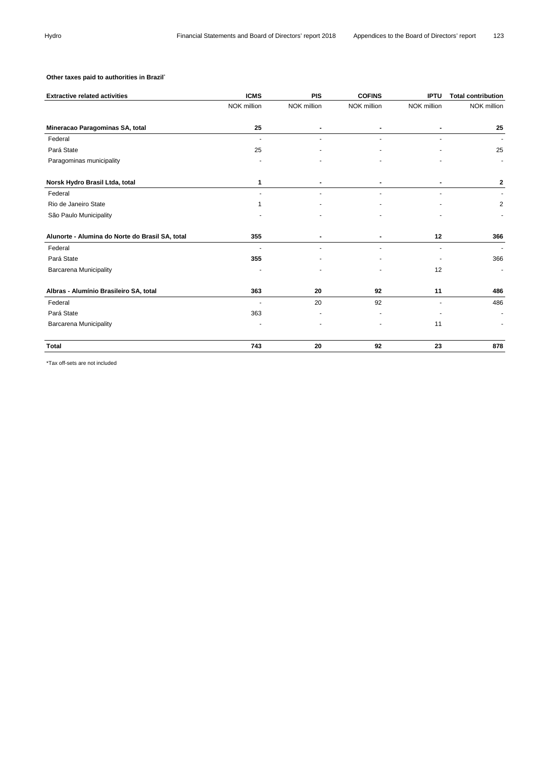### **Other taxes paid to authorities in Brazil**\*

| <b>Extractive related activities</b>            | <b>ICMS</b>    | <b>PIS</b>     | <b>COFINS</b>  | <b>IPTU</b>    | <b>Total contribution</b> |
|-------------------------------------------------|----------------|----------------|----------------|----------------|---------------------------|
|                                                 | NOK million    | NOK million    | NOK million    | NOK million    | NOK million               |
| Mineracao Paragominas SA, total                 | 25             | ٠              | ٠              |                | 25                        |
| Federal                                         | ٠              | $\blacksquare$ |                |                |                           |
| Pará State                                      | 25             |                |                |                | 25                        |
| Paragominas municipality                        |                |                |                |                |                           |
| Norsk Hydro Brasil Ltda, total                  | 1              |                |                |                | 2                         |
| Federal                                         | ٠              |                |                |                |                           |
| Rio de Janeiro State                            | 1              |                |                |                | $\overline{2}$            |
| São Paulo Municipality                          |                |                |                |                |                           |
| Alunorte - Alumina do Norte do Brasil SA, total | 355            |                |                | 12             | 366                       |
| Federal                                         | ä,             |                |                | $\blacksquare$ | $\sim$                    |
| Pará State                                      | 355            |                |                |                | 366                       |
| <b>Barcarena Municipality</b>                   |                |                |                | 12             | $\blacksquare$            |
| Albras - Alumínio Brasileiro SA, total          | 363            | 20             | 92             | 11             | 486                       |
| Federal                                         | $\blacksquare$ | 20             | 92             | $\blacksquare$ | 486                       |
| Pará State                                      | 363            |                |                |                |                           |
| <b>Barcarena Municipality</b>                   |                |                | $\blacksquare$ | 11             |                           |
| Total                                           | 743            | 20             | 92             | 23             | 878                       |

\*Tax off-sets are not included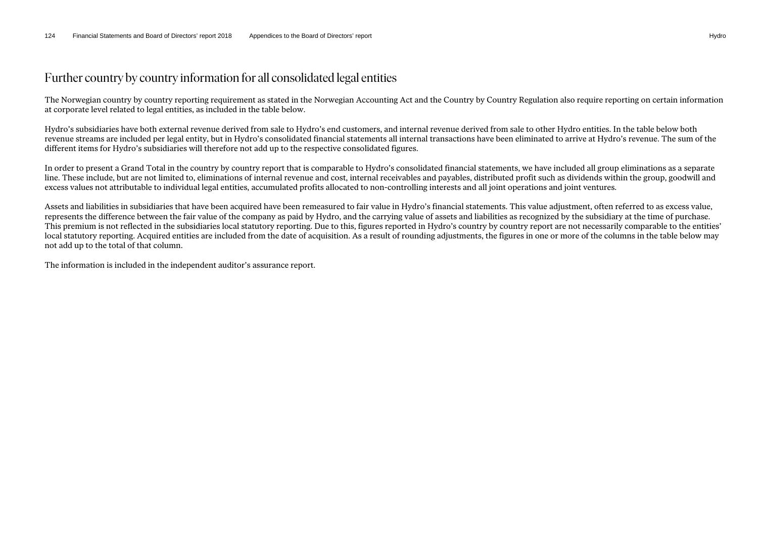## Further country by country information for all consolidated legal entities

The Norwegian country by country reporting requirement as stated in the Norwegian Accounting Act and the Country by Country Regulation also require reporting on certain information at corporate level related to legal entities, as included in the table below.

Hydro's subsidiaries have both external revenue derived from sale to Hydro's end customers, and internal revenue derived from sale to other Hydro entities. In the table below both revenue streams are included per legal entity, but in Hydro's consolidated financial statements all internal transactions have been eliminated to arrive at Hydro's revenue. The sum of the different items for Hydro's subsidiaries will therefore not add up to the respective consolidated figures.

In order to present a Grand Total in the country by country report that is comparable to Hydro's consolidated financial statements, we have included all group eliminations as a separate line. These include, but are not limited to, eliminations of internal revenue and cost, internal receivables and payables, distributed profit such as dividends within the group, goodwill and excess values not attributable to individual legal entities, accumulated profits allocated to non-controlling interests and all joint operations and joint ventures.

Assets and liabilities in subsidiaries that have been acquired have been remeasured to fair value in Hydro's financial statements. This value adjustment, often referred to as excess value, represents the difference between the fair value of the company as paid by Hydro, and the carrying value of assets and liabilities as recognized by the subsidiary at the time of purchase. This premium is not reflected in the subsidiaries local statutory reporting. Due to this, figures reported in Hydro's country by country report are not necessarily comparable to the entities' local statutory reporting. Acquired entities are included from the date of acquisition. As a result of rounding adjustments, the figures in one or more of the columns in the table below may not add up to the total of that column.

The information is included in the independent auditor's assurance report.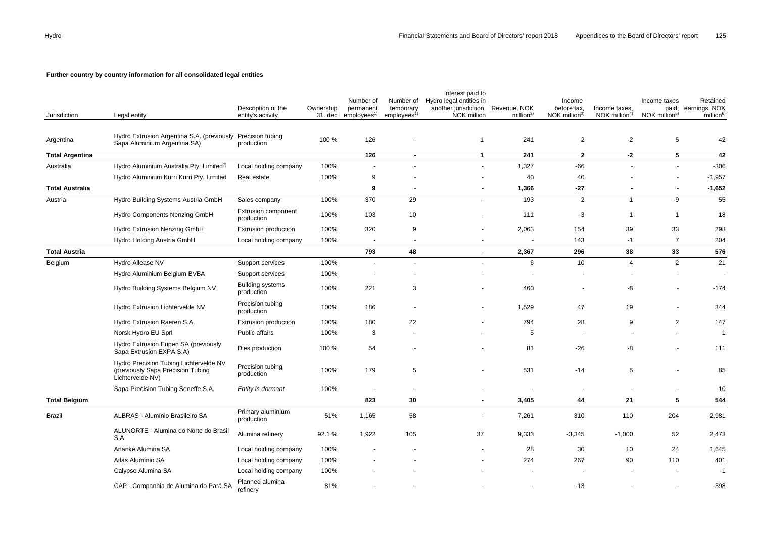### **Further country by country information for all consolidated legal entities**

| Jurisdiction           | Legal entity                                                                                    | Description of the<br>entity's activity  | Ownership | Number of<br>permanent<br>31. dec employees <sup>1)</sup> | Number of<br>temporary<br>employees <sup>1)</sup> | Interest paid to<br>Hydro legal entities in<br>another jurisdiction, Revenue, NOK<br>NOK million | million <sup>2</sup> | Income<br>before tax,<br>NOK million <sup>3)</sup> | Income taxes,<br>NOK million $4$ ) | Income taxes<br>NOK million <sup>5)</sup> | Retained<br>paid, earnings, NOK<br>million <sup>6)</sup> |
|------------------------|-------------------------------------------------------------------------------------------------|------------------------------------------|-----------|-----------------------------------------------------------|---------------------------------------------------|--------------------------------------------------------------------------------------------------|----------------------|----------------------------------------------------|------------------------------------|-------------------------------------------|----------------------------------------------------------|
| Argentina              | Hydro Extrusion Argentina S.A. (previously Precision tubing<br>Sapa Aluminium Argentina SA)     | production                               | 100 %     | 126                                                       |                                                   | $\overline{1}$                                                                                   | 241                  | $\overline{2}$                                     | -2                                 | 5                                         | 42                                                       |
| <b>Total Argentina</b> |                                                                                                 |                                          |           | 126                                                       | $\sim$                                            | $\mathbf{1}$                                                                                     | 241                  | $\mathbf{2}$                                       | $-2$                               | $5\phantom{.0}$                           | 42                                                       |
| Australia              | Hydro Aluminium Australia Pty. Limited <sup>7)</sup>                                            | Local holding company                    | 100%      | $\blacksquare$                                            | $\sim$                                            | $\blacksquare$                                                                                   | 1,327                | $-66$                                              | $\sim$                             | $\sim$                                    | $-306$                                                   |
|                        | Hydro Aluminium Kurri Kurri Pty. Limited                                                        | Real estate                              | 100%      | 9                                                         | $\overline{\phantom{a}}$                          | $\overline{\phantom{a}}$                                                                         | 40                   | 40                                                 | $\blacksquare$                     | $\blacksquare$                            | $-1,957$                                                 |
| <b>Total Australia</b> |                                                                                                 |                                          |           | $\boldsymbol{9}$                                          | $\sim$                                            | $\blacksquare$                                                                                   | 1,366                | $-27$                                              | $\blacksquare$                     | $\blacksquare$                            | $-1,652$                                                 |
| Austria                | Hydro Building Systems Austria GmbH                                                             | Sales company                            | 100%      | 370                                                       | 29                                                |                                                                                                  | 193                  | $\overline{2}$                                     | $\mathbf{1}$                       | -9                                        | 55                                                       |
|                        | Hydro Components Nenzing GmbH                                                                   | <b>Extrusion component</b><br>production | 100%      | 103                                                       | 10                                                |                                                                                                  | 111                  | $-3$                                               | $-1$                               | $\overline{1}$                            | 18                                                       |
|                        | Hydro Extrusion Nenzing GmbH                                                                    | Extrusion production                     | 100%      | 320                                                       | 9                                                 |                                                                                                  | 2,063                | 154                                                | 39                                 | 33                                        | 298                                                      |
|                        | Hydro Holding Austria GmbH                                                                      | Local holding company                    | 100%      |                                                           |                                                   |                                                                                                  |                      | 143                                                | $-1$                               | $\overline{7}$                            | 204                                                      |
| <b>Total Austria</b>   |                                                                                                 |                                          |           | 793                                                       | 48                                                | $\blacksquare$                                                                                   | 2,367                | 296                                                | 38                                 | 33                                        | 576                                                      |
| Belgium                | Hydro Allease NV                                                                                | Support services                         | 100%      | $\sim$                                                    | $\overline{\phantom{a}}$                          | $\blacksquare$                                                                                   | 6                    | 10                                                 | $\overline{4}$                     | $\overline{2}$                            | 21                                                       |
|                        | Hydro Aluminium Belgium BVBA                                                                    | Support services                         | 100%      |                                                           |                                                   |                                                                                                  |                      |                                                    |                                    |                                           |                                                          |
|                        | Hydro Building Systems Belgium NV                                                               | <b>Building systems</b><br>production    | 100%      | 221                                                       | 3                                                 |                                                                                                  | 460                  |                                                    | -8                                 |                                           | $-174$                                                   |
|                        | Hydro Extrusion Lichtervelde NV                                                                 | Precision tubing<br>production           | 100%      | 186                                                       |                                                   |                                                                                                  | 1,529                | 47                                                 | 19                                 |                                           | 344                                                      |
|                        | Hydro Extrusion Raeren S.A.                                                                     | Extrusion production                     | 100%      | 180                                                       | 22                                                |                                                                                                  | 794                  | 28                                                 | 9                                  | $\overline{2}$                            | 147                                                      |
|                        | Norsk Hydro EU Sprl                                                                             | Public affairs                           | 100%      | 3                                                         |                                                   |                                                                                                  | 5                    | ٠                                                  |                                    |                                           | $\overline{1}$                                           |
|                        | Hydro Extrusion Eupen SA (previously<br>Sapa Extrusion EXPA S.A)                                | Dies production                          | 100 %     | 54                                                        |                                                   |                                                                                                  | 81                   | $-26$                                              | -8                                 |                                           | 111                                                      |
|                        | Hydro Precision Tubing Lichtervelde NV<br>(previously Sapa Precision Tubing<br>Lichtervelde NV) | Precision tubing<br>production           | 100%      | 179                                                       | 5                                                 |                                                                                                  | 531                  | $-14$                                              | 5                                  |                                           | 85                                                       |
|                        | Sapa Precision Tubing Seneffe S.A.                                                              | Entity is dormant                        | 100%      | $\sim$                                                    |                                                   |                                                                                                  |                      |                                                    |                                    |                                           | 10                                                       |
| <b>Total Belgium</b>   |                                                                                                 |                                          |           | 823                                                       | 30                                                | $\blacksquare$                                                                                   | 3,405                | 44                                                 | 21                                 | 5                                         | 544                                                      |
| Brazil                 | ALBRAS - Alumínio Brasileiro SA                                                                 | Primary aluminium<br>production          | 51%       | 1,165                                                     | 58                                                | $\ddot{\phantom{1}}$                                                                             | 7,261                | 310                                                | 110                                | 204                                       | 2,981                                                    |
|                        | ALUNORTE - Alumina do Norte do Brasil<br>S.A.                                                   | Alumina refinery                         | 92.1%     | 1,922                                                     | 105                                               | 37                                                                                               | 9,333                | $-3,345$                                           | $-1,000$                           | 52                                        | 2,473                                                    |
|                        | Ananke Alumina SA                                                                               | Local holding company                    | 100%      |                                                           |                                                   | $\ddot{\phantom{1}}$                                                                             | 28                   | 30                                                 | 10                                 | 24                                        | 1,645                                                    |
|                        | Atlas Alumínio SA                                                                               | Local holding company                    | 100%      |                                                           |                                                   |                                                                                                  | 274                  | 267                                                | 90                                 | 110                                       | 401                                                      |
|                        | Calypso Alumina SA                                                                              | Local holding company                    | 100%      |                                                           |                                                   |                                                                                                  | $\blacksquare$       |                                                    |                                    |                                           | $-1$                                                     |
|                        | CAP - Companhia de Alumina do Pará SA                                                           | Planned alumina<br>refinery              | 81%       |                                                           |                                                   |                                                                                                  |                      | $-13$                                              |                                    |                                           | $-398$                                                   |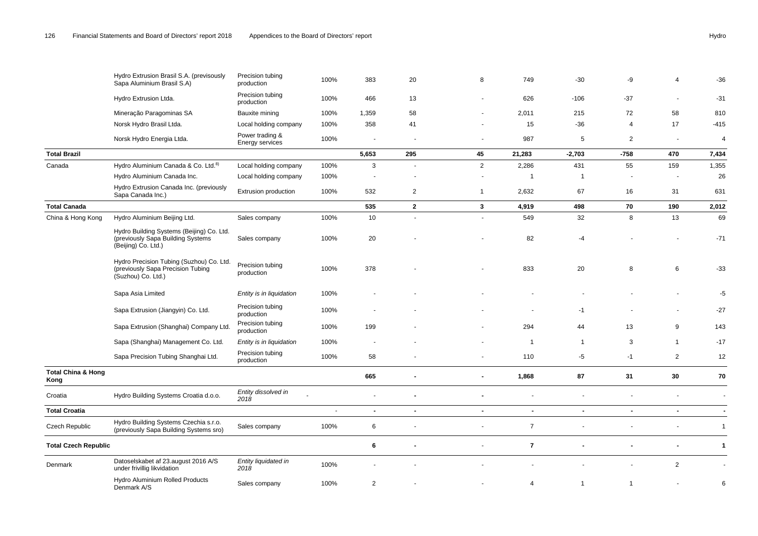|                                       | Hydro Extrusion Brasil S.A. (previsously<br>Sapa Aluminium Brasil S.A)                                | Precision tubing<br>production     | 100%   | 383            | 20                       | 8              | 749            | $-30$          | -9             | 4              | $-36$          |
|---------------------------------------|-------------------------------------------------------------------------------------------------------|------------------------------------|--------|----------------|--------------------------|----------------|----------------|----------------|----------------|----------------|----------------|
|                                       | Hydro Extrusion Ltda.                                                                                 | Precision tubing<br>production     | 100%   | 466            | 13                       |                | 626            | $-106$         | $-37$          | $\sim$         | $-31$          |
|                                       | Mineração Paragominas SA                                                                              | Bauxite mining                     | 100%   | 1,359          | 58                       |                | 2,011          | 215            | 72             | 58             | 810            |
|                                       | Norsk Hydro Brasil Ltda.                                                                              | Local holding company              | 100%   | 358            | 41                       |                | 15             | $-36$          | 4              | 17             | $-415$         |
|                                       | Norsk Hydro Energia Ltda.                                                                             | Power trading &<br>Energy services | 100%   | $\blacksquare$ | $\overline{\phantom{a}}$ |                | 987            | 5              | $\overline{2}$ | $\sim$         | $\overline{4}$ |
| <b>Total Brazil</b>                   |                                                                                                       |                                    |        | 5,653          | 295                      | 45             | 21,283         | $-2,703$       | $-758$         | 470            | 7,434          |
| Canada                                | Hydro Aluminium Canada & Co. Ltd. <sup>8)</sup>                                                       | Local holding company              | 100%   | $\mathbf{3}$   | $\sim$                   | $\overline{2}$ | 2,286          | 431            | 55             | 159            | 1,355          |
|                                       | Hydro Aluminium Canada Inc.                                                                           | Local holding company              | 100%   |                |                          |                | $\overline{1}$ | $\overline{1}$ |                |                | 26             |
|                                       | Hydro Extrusion Canada Inc. (previously<br>Sapa Canada Inc.)                                          | Extrusion production               | 100%   | 532            | $\overline{2}$           | 1              | 2,632          | 67             | 16             | 31             | 631            |
| <b>Total Canada</b>                   |                                                                                                       |                                    |        | 535            | $\mathbf{2}$             | 3              | 4,919          | 498            | 70             | 190            | 2,012          |
| China & Hong Kong                     | Hydro Aluminium Beijing Ltd.                                                                          | Sales company                      | 100%   | 10             | $\overline{a}$           | $\sim$         | 549            | 32             | 8              | 13             | 69             |
|                                       | Hydro Building Systems (Beijing) Co. Ltd.<br>(previously Sapa Building Systems<br>(Beijing) Co. Ltd.) | Sales company                      | 100%   | 20             |                          |                | 82             | $-4$           |                |                | $-71$          |
|                                       | Hydro Precision Tubing (Suzhou) Co. Ltd.<br>(previously Sapa Precision Tubing<br>(Suzhou) Co. Ltd.)   | Precision tubing<br>production     | 100%   | 378            |                          |                | 833            | 20             | 8              | 6              | $-33$          |
|                                       | Sapa Asia Limited                                                                                     | Entity is in liquidation           | 100%   |                |                          |                |                |                |                |                | $-5$           |
|                                       | Sapa Extrusion (Jiangyin) Co. Ltd.                                                                    | Precision tubing<br>production     | 100%   |                |                          |                |                | $-1$           |                | $\sim$         | $-27$          |
|                                       | Sapa Extrusion (Shanghai) Company Ltd.                                                                | Precision tubing<br>production     | 100%   | 199            |                          |                | 294            | 44             | 13             | 9              | 143            |
|                                       | Sapa (Shanghai) Management Co. Ltd.                                                                   | Entity is in liquidation           | 100%   |                |                          |                | $\overline{1}$ | $\mathbf{1}$   | 3              | $\overline{1}$ | $-17$          |
|                                       | Sapa Precision Tubing Shanghai Ltd.                                                                   | Precision tubing<br>production     | 100%   | 58             |                          |                | 110            | -5             | $-1$           | $\overline{2}$ | 12             |
| <b>Total China &amp; Hong</b><br>Kong |                                                                                                       |                                    |        | 665            | ٠                        |                | 1,868          | 87             | 31             | 30             | 70             |
| Croatia                               | Hydro Building Systems Croatia d.o.o.                                                                 | Entity dissolved in<br>2018        |        |                |                          |                |                |                |                |                |                |
| <b>Total Croatia</b>                  |                                                                                                       |                                    | $\sim$ | $\blacksquare$ | $\blacksquare$           | $\sim$         | $\blacksquare$ | $\blacksquare$ | $\blacksquare$ | $\blacksquare$ | $\blacksquare$ |
| <b>Czech Republic</b>                 | Hydro Building Systems Czechia s.r.o.<br>(previously Sapa Building Systems sro)                       | Sales company                      | 100%   | $\,6\,$        |                          |                | $\overline{7}$ |                |                |                | $\mathbf{1}$   |
| <b>Total Czech Republic</b>           |                                                                                                       |                                    |        | 6              | ٠                        |                | $\overline{7}$ |                |                |                | $\mathbf{1}$   |
| Denmark                               | Datoselskabet af 23.august 2016 A/S<br>under frivillig likvidation                                    | Entity liquidated in<br>2018       | 100%   |                |                          |                |                |                |                | $\overline{2}$ |                |
|                                       | Hydro Aluminium Rolled Products<br>Denmark A/S                                                        | Sales company                      | 100%   | $\overline{2}$ |                          |                | 4              |                | $\overline{1}$ |                | 6              |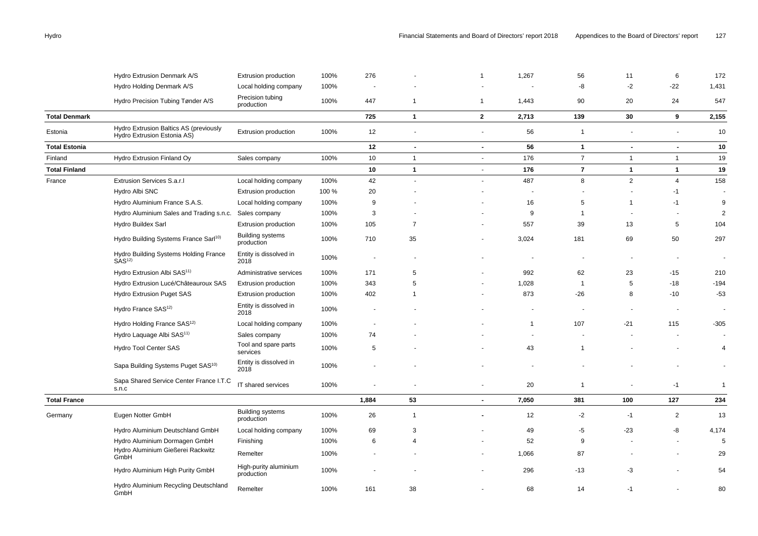|                      | Hydro Extrusion Denmark A/S                                           | Extrusion production                  | 100%  | 276            |                          |                | 1,267          | 56             | 11             | 6                        | 172                      |
|----------------------|-----------------------------------------------------------------------|---------------------------------------|-------|----------------|--------------------------|----------------|----------------|----------------|----------------|--------------------------|--------------------------|
|                      | Hydro Holding Denmark A/S                                             | Local holding company                 | 100%  |                |                          |                |                | -8             | $-2$           | $-22$                    | 1,431                    |
|                      | Hydro Precision Tubing Tønder A/S                                     | Precision tubing<br>production        | 100%  | 447            | $\mathbf{1}$             | $\overline{1}$ | 1,443          | 90             | 20             | 24                       | 547                      |
| <b>Total Denmark</b> |                                                                       |                                       |       | 725            | $\mathbf{1}$             | $\mathbf{2}$   | 2,713          | 139            | 30             | 9                        | 2,155                    |
| Estonia              | Hydro Extrusion Baltics AS (previously<br>Hydro Extrusion Estonia AS) | Extrusion production                  | 100%  | 12             | $\sim$                   | $\blacksquare$ | 56             | $\overline{1}$ | $\sim$         | ÷,                       | 10                       |
| <b>Total Estonia</b> |                                                                       |                                       |       | 12             | $\overline{\phantom{a}}$ | $\blacksquare$ | 56             | $\mathbf{1}$   | $\blacksquare$ | $\blacksquare$           | 10                       |
| Finland              | Hydro Extrusion Finland Oy                                            | Sales company                         | 100%  | 10             | $\mathbf{1}$             | $\blacksquare$ | 176            | $\overline{7}$ | $\mathbf{1}$   | $\mathbf{1}$             | 19                       |
| <b>Total Finland</b> |                                                                       |                                       |       | 10             | $\mathbf{1}$             | $\sim$         | 176            | $\overline{7}$ | $\mathbf{1}$   | $\mathbf{1}$             | 19                       |
| France               | Extrusion Services S.a.r.l                                            | Local holding company                 | 100%  | 42             |                          |                | 487            | 8              | $\overline{2}$ | $\overline{4}$           | 158                      |
|                      | Hydro Albi SNC                                                        | Extrusion production                  | 100 % | 20             |                          |                |                |                |                | $-1$                     | $\overline{\phantom{a}}$ |
|                      | Hydro Aluminium France S.A.S.                                         | Local holding company                 | 100%  | 9              |                          |                | 16             | 5              | $\overline{1}$ | $-1$                     | 9                        |
|                      | Hydro Aluminium Sales and Trading s.n.c.                              | Sales company                         | 100%  | 3              |                          |                | 9              | $\overline{1}$ |                |                          | $\overline{2}$           |
|                      | Hydro Buildex Sarl                                                    | Extrusion production                  | 100%  | 105            | $\overline{7}$           |                | 557            | 39             | 13             | 5                        | 104                      |
|                      | Hydro Building Systems France Sarl <sup>10)</sup>                     | <b>Building systems</b><br>production | 100%  | 710            | 35                       | $\blacksquare$ | 3,024          | 181            | 69             | 50                       | 297                      |
|                      | Hydro Building Systems Holding France<br>SAS <sup>12</sup>            | Entity is dissolved in<br>2018        | 100%  | $\overline{a}$ |                          |                | $\blacksquare$ |                | $\blacksquare$ | $\blacksquare$           | $\sim$                   |
|                      | Hydro Extrusion Albi SAS <sup>11)</sup>                               | Administrative services               | 100%  | 171            | 5                        |                | 992            | 62             | 23             | $-15$                    | 210                      |
|                      | Hydro Extrusion Lucé/Châteauroux SAS                                  | Extrusion production                  | 100%  | 343            | 5                        |                | 1,028          | $\overline{1}$ | 5              | $-18$                    | $-194$                   |
|                      | Hydro Extrusion Puget SAS                                             | Extrusion production                  | 100%  | 402            | -1                       |                | 873            | $-26$          | 8              | $-10$                    | $-53$                    |
|                      | Hydro France SAS <sup>12)</sup>                                       | Entity is dissolved in<br>2018        | 100%  |                |                          |                |                |                |                | $\overline{\phantom{a}}$ | $\overline{\phantom{a}}$ |
|                      | Hydro Holding France SAS <sup>12)</sup>                               | Local holding company                 | 100%  |                |                          |                | $\mathbf 1$    | 107            | $-21$          | 115                      | $-305$                   |
|                      | Hydro Laquage Albi SAS <sup>11)</sup>                                 | Sales company                         | 100%  | 74             |                          |                |                |                |                | $\overline{a}$           |                          |
|                      | Hydro Tool Center SAS                                                 | Tool and spare parts<br>services      | 100%  | 5              |                          |                | 43             |                |                |                          | 4                        |
|                      | Sapa Building Systems Puget SAS <sup>10)</sup>                        | Entity is dissolved in<br>2018        | 100%  |                |                          |                |                |                |                |                          |                          |
|                      | Sapa Shared Service Center France I.T.C<br>s.n.c                      | IT shared services                    | 100%  | ä,             |                          | $\blacksquare$ | 20             | $\mathbf{1}$   |                | $-1$                     | $\overline{1}$           |
| <b>Total France</b>  |                                                                       |                                       |       | 1,884          | 53                       | $\sim$         | 7,050          | 381            | 100            | 127                      | 234                      |
| Germany              | Eugen Notter GmbH                                                     | <b>Building systems</b><br>production | 100%  | 26             | $\mathbf{1}$             | $\blacksquare$ | 12             | $-2$           | $-1$           | $\overline{2}$           | 13                       |
|                      | Hydro Aluminium Deutschland GmbH                                      | Local holding company                 | 100%  | 69             | 3                        |                | 49             | -5             | $-23$          | -8                       | 4,174                    |
|                      | Hydro Aluminium Dormagen GmbH                                         | Finishing                             | 100%  | 6              | 4                        |                | 52             | 9              |                |                          | 5                        |
|                      | Hydro Aluminium Gießerei Rackwitz<br>GmbH                             | Remelter                              | 100%  |                |                          |                | 1,066          | 87             |                |                          | 29                       |
|                      | Hydro Aluminium High Purity GmbH                                      | High-purity aluminium<br>production   | 100%  |                |                          |                | 296            | $-13$          | -3             |                          | 54                       |
|                      | Hydro Aluminium Recycling Deutschland<br>GmbH                         | Remelter                              | 100%  | 161            | 38                       |                | 68             | 14             | -1             |                          | 80                       |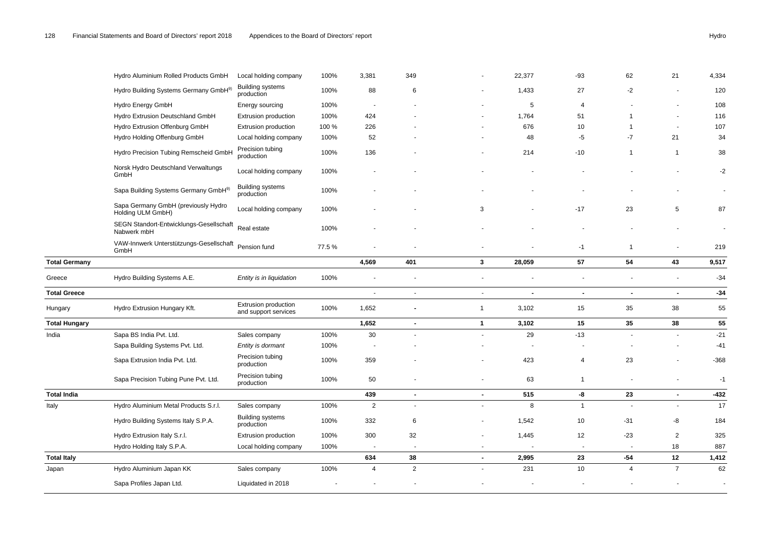|                      | Hydro Aluminium Rolled Products GmbH                         | Local holding company                        | 100%  | 3,381                    | 349                      |                          | 22,377         | $-93$                    | 62             | 21             | 4,334                    |
|----------------------|--------------------------------------------------------------|----------------------------------------------|-------|--------------------------|--------------------------|--------------------------|----------------|--------------------------|----------------|----------------|--------------------------|
|                      | Hydro Building Systems Germany GmbH <sup>9)</sup>            | <b>Building systems</b><br>production        | 100%  | 88                       | 6                        |                          | 1,433          | 27                       | $-2$           |                | 120                      |
|                      | Hydro Energy GmbH                                            | Energy sourcing                              | 100%  | $\overline{\phantom{a}}$ |                          |                          | $\sqrt{5}$     | $\overline{4}$           |                |                | 108                      |
|                      | Hydro Extrusion Deutschland GmbH                             | Extrusion production                         | 100%  | 424                      |                          |                          | 1,764          | 51                       | $\overline{1}$ | $\blacksquare$ | 116                      |
|                      | Hydro Extrusion Offenburg GmbH                               | Extrusion production                         | 100 % | 226                      |                          |                          | 676            | 10                       | $\overline{1}$ | $\sim$         | 107                      |
|                      | Hydro Holding Offenburg GmbH                                 | Local holding company                        | 100%  | 52                       |                          |                          | 48             | -5                       | $-7$           | 21             | 34                       |
|                      | Hydro Precision Tubing Remscheid GmbH                        | Precision tubing<br>production               | 100%  | 136                      |                          |                          | 214            | $-10$                    | $\mathbf{1}$   | $\overline{1}$ | 38                       |
|                      | Norsk Hydro Deutschland Verwaltungs<br>GmbH                  | Local holding company                        | 100%  |                          |                          |                          |                |                          |                |                | $-2$                     |
|                      | Sapa Building Systems Germany GmbH <sup>9)</sup>             | <b>Building systems</b><br>production        | 100%  |                          |                          |                          |                |                          |                |                | $\overline{\phantom{a}}$ |
|                      | Sapa Germany GmbH (previously Hydro<br>Holding ULM GmbH)     | Local holding company                        | 100%  |                          |                          | 3                        |                | $-17$                    | 23             | $\,$ 5 $\,$    | 87                       |
|                      | SEGN Standort-Entwicklungs-Gesellschaft<br>Nabwerk mbH       | Real estate                                  | 100%  |                          |                          |                          |                |                          |                |                |                          |
|                      | VAW-Innwerk Unterstützungs-Gesellschaft Pension fund<br>GmbH |                                              | 77.5% |                          |                          |                          |                | $-1$                     | $\mathbf{1}$   |                | 219                      |
| <b>Total Germany</b> |                                                              |                                              |       | 4,569                    | 401                      | $\mathbf{3}$             | 28,059         | 57                       | 54             | 43             | 9,517                    |
| Greece               | Hydro Building Systems A.E.                                  | Entity is in liquidation                     | 100%  |                          |                          |                          |                |                          | $\blacksquare$ | $\blacksquare$ | $-34$                    |
| <b>Total Greece</b>  |                                                              |                                              |       | $\overline{\phantom{a}}$ | $\overline{\phantom{a}}$ | $\overline{\phantom{a}}$ | $\blacksquare$ | $\blacksquare$           | $\blacksquare$ | $\sim$         | $-34$                    |
| Hungary              | Hydro Extrusion Hungary Kft.                                 | Extrusion production<br>and support services | 100%  | 1,652                    |                          | $\overline{1}$           | 3,102          | 15                       | 35             | 38             | 55                       |
| <b>Total Hungary</b> |                                                              |                                              |       | 1,652                    | $\blacksquare$           | $\mathbf{1}$             | 3,102          | 15                       | 35             | 38             | 55                       |
| India                | Sapa BS India Pvt. Ltd.                                      | Sales company                                | 100%  | 30                       | $\sim$                   |                          | 29             | $-13$                    |                | $\sim$         | $-21$                    |
|                      | Sapa Building Systems Pvt. Ltd.                              | Entity is dormant                            | 100%  |                          |                          |                          |                |                          |                |                | $-41$                    |
|                      | Sapa Extrusion India Pvt. Ltd.                               | Precision tubing<br>production               | 100%  | 359                      |                          |                          | 423            | 4                        | 23             |                | $-368$                   |
|                      | Sapa Precision Tubing Pune Pvt. Ltd.                         | Precision tubing<br>production               | 100%  | 50                       | $\overline{\phantom{a}}$ |                          | 63             | $\mathbf{1}$             | $\blacksquare$ | $\blacksquare$ | $-1$                     |
| <b>Total India</b>   |                                                              |                                              |       | 439                      | $\blacksquare$           | $\blacksquare$           | 515            | -8                       | 23             | $\sim$         | $-432$                   |
| Italy                | Hydro Aluminium Metal Products S.r.l.                        | Sales company                                | 100%  | $\overline{2}$           | $\mathbf{r}$             |                          | 8              | $\mathbf{1}$             |                | $\sim$         | 17                       |
|                      | Hydro Building Systems Italy S.P.A.                          | <b>Building systems</b><br>production        | 100%  | 332                      | 6                        |                          | 1,542          | 10                       | $-31$          | -8             | 184                      |
|                      | Hydro Extrusion Italy S.r.l.                                 | Extrusion production                         | 100%  | 300                      | 32                       |                          | 1,445          | 12                       | $-23$          | $\overline{2}$ | 325                      |
|                      | Hydro Holding Italy S.P.A.                                   | Local holding company                        | 100%  | $\sim$                   | $\overline{\phantom{a}}$ |                          |                | $\overline{\phantom{a}}$ | $\blacksquare$ | 18             | 887                      |
| <b>Total Italy</b>   |                                                              |                                              |       | 634                      | 38                       | $\blacksquare$           | 2,995          | 23                       | $-54$          | 12             | 1,412                    |
| Japan                | Hydro Aluminium Japan KK                                     | Sales company                                | 100%  | $\overline{4}$           | 2                        |                          | 231            | 10                       | $\overline{4}$ | $\overline{7}$ | 62                       |
|                      | Sapa Profiles Japan Ltd.                                     | Liquidated in 2018                           |       |                          |                          |                          |                |                          |                |                |                          |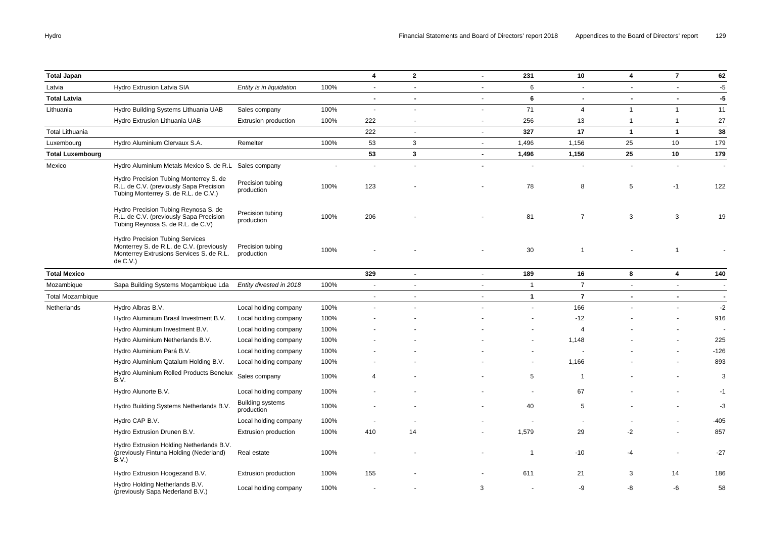| <b>Total Japan</b>      |                                                                                                                                            |                                       |      | 4                        | $\mathbf{2}$             | $\blacksquare$ | 231            | 10                    | 4              | $\overline{7}$           | 62             |
|-------------------------|--------------------------------------------------------------------------------------------------------------------------------------------|---------------------------------------|------|--------------------------|--------------------------|----------------|----------------|-----------------------|----------------|--------------------------|----------------|
| Latvia                  | Hydro Extrusion Latvia SIA                                                                                                                 | Entity is in liquidation              | 100% | $\sim$                   | $\sim$                   | $\blacksquare$ | 6              | $\blacksquare$        | $\sim$         | $\sim$                   | $-5$           |
| <b>Total Latvia</b>     |                                                                                                                                            |                                       |      | $\blacksquare$           | $\blacksquare$           | $\blacksquare$ | 6              | $\blacksquare$        | $\blacksquare$ | $\sim$                   | $-5$           |
| Lithuania               | Hydro Building Systems Lithuania UAB                                                                                                       | Sales company                         | 100% | $\overline{\phantom{a}}$ | $\blacksquare$           | $\blacksquare$ | 71             | $\overline{4}$        | $\mathbf{1}$   | $\overline{1}$           | 11             |
|                         | Hydro Extrusion Lithuania UAB                                                                                                              | Extrusion production                  | 100% | 222                      | $\overline{\phantom{a}}$ | $\blacksquare$ | 256            | 13                    | $\mathbf{1}$   | $\overline{1}$           | 27             |
| <b>Total Lithuania</b>  |                                                                                                                                            |                                       |      | 222                      | $\sim$                   | $\mathbf{r}$   | 327            | 17                    | $\mathbf{1}$   | $\overline{1}$           | 38             |
| Luxembourg              | Hydro Aluminium Clervaux S.A.                                                                                                              | Remelter                              | 100% | 53                       | 3                        | $\blacksquare$ | 1,496          | 1,156                 | 25             | 10                       | 179            |
| <b>Total Luxembourg</b> |                                                                                                                                            |                                       |      | 53                       | $\mathbf{3}$             | $\blacksquare$ | 1,496          | 1,156                 | 25             | 10                       | 179            |
| Mexico                  | Hydro Aluminium Metals Mexico S. de R.L Sales company                                                                                      |                                       |      | ÷,                       |                          |                |                |                       | $\sim$         |                          |                |
|                         | Hydro Precision Tubing Monterrey S. de<br>R.L. de C.V. (previously Sapa Precision<br>Tubing Monterrey S. de R.L. de C.V.)                  | Precision tubing<br>production        | 100% | 123                      |                          |                | 78             | 8                     | 5              | $-1$                     | 122            |
|                         | Hydro Precision Tubing Reynosa S. de<br>R.L. de C.V. (previously Sapa Precision<br>Tubing Reynosa S. de R.L. de C.V)                       | Precision tubing<br>production        | 100% | 206                      |                          |                | 81             | $\overline{7}$        | 3              | 3                        | 19             |
|                         | <b>Hydro Precision Tubing Services</b><br>Monterrey S. de R.L. de C.V. (previously<br>Monterrey Extrusions Services S. de R.L.<br>de C.V.) | Precision tubing<br>production        | 100% |                          |                          |                | 30             | -1                    |                | $\overline{1}$           |                |
| <b>Total Mexico</b>     |                                                                                                                                            |                                       |      | 329                      | $\blacksquare$           | $\blacksquare$ | 189            | 16                    | 8              | 4                        | 140            |
| Mozambique              | Sapa Building Systems Moçambique Lda                                                                                                       | Entity divested in 2018               | 100% | $\blacksquare$           |                          |                | $\overline{1}$ | $\overline{7}$        |                |                          |                |
| <b>Total Mozambique</b> |                                                                                                                                            |                                       |      | $\blacksquare$           | $\sim$                   | $\blacksquare$ | $\mathbf{1}$   | $\overline{7}$        | $\blacksquare$ | $\overline{\phantom{a}}$ | $\blacksquare$ |
| Netherlands             | Hydro Albras B.V.                                                                                                                          | Local holding company                 | 100% | ÷                        |                          |                | $\overline{a}$ | 166                   |                |                          | $-2$           |
|                         | Hydro Aluminium Brasil Investment B.V.                                                                                                     | Local holding company                 | 100% |                          |                          |                |                | $-12$                 |                |                          | 916            |
|                         | Hydro Aluminium Investment B.V.                                                                                                            | Local holding company                 | 100% |                          |                          |                |                | $\boldsymbol{\Delta}$ |                |                          |                |
|                         | Hydro Aluminium Netherlands B.V.                                                                                                           | Local holding company                 | 100% |                          |                          |                |                | 1,148                 |                |                          | 225            |
|                         | Hydro Aluminium Pará B.V.                                                                                                                  | Local holding company                 | 100% |                          |                          |                |                |                       |                |                          | $-126$         |
|                         | Hydro Aluminium Qatalum Holding B.V.                                                                                                       | Local holding company                 | 100% |                          |                          |                | $\blacksquare$ | 1,166                 |                |                          | 893            |
|                         | Hydro Aluminium Rolled Products Benelux<br>B.V.                                                                                            | Sales company                         | 100% | $\overline{4}$           |                          |                | $\sqrt{5}$     | $\overline{1}$        |                |                          | 3              |
|                         | Hydro Alunorte B.V.                                                                                                                        | Local holding company                 | 100% |                          |                          |                | $\blacksquare$ | 67                    |                |                          | $-1$           |
|                         | Hydro Building Systems Netherlands B.V.                                                                                                    | <b>Building systems</b><br>production | 100% |                          |                          |                | 40             | 5                     |                |                          | $-3$           |
|                         | Hydro CAP B.V.                                                                                                                             | Local holding company                 | 100% |                          |                          |                | $\blacksquare$ |                       |                |                          | $-405$         |
|                         | Hydro Extrusion Drunen B.V.                                                                                                                | Extrusion production                  | 100% | 410                      | 14                       |                | 1,579          | 29                    | $-2$           |                          | 857            |
|                         | Hydro Extrusion Holding Netherlands B.V.<br>(previously Fintuna Holding (Nederland)<br>B.V.                                                | Real estate                           | 100% |                          |                          |                | $\overline{1}$ | $-10$                 | -4             | $\sim$                   | $-27$          |
|                         | Hydro Extrusion Hoogezand B.V.                                                                                                             | Extrusion production                  | 100% | 155                      |                          |                | 611            | 21                    | 3              | 14                       | 186            |
|                         | Hydro Holding Netherlands B.V.<br>(previously Sapa Nederland B.V.)                                                                         | Local holding company                 | 100% |                          |                          | 3              |                | -9                    | -8             | -6                       | 58             |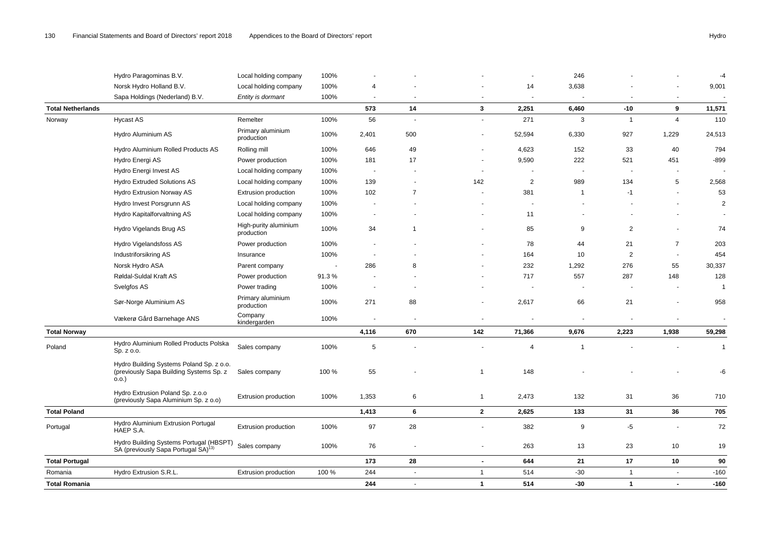| 100%<br>3,638<br>Norsk Hydro Holland B.V.<br>Local holding company<br>9,001<br>14<br>4<br>Sapa Holdings (Nederland) B.V.<br>Entity is dormant<br>100%<br>$\sim$<br>$\overline{\phantom{a}}$<br>$\blacksquare$<br>$\sim$<br>$\sim$<br>573<br>3<br>11,571<br><b>Total Netherlands</b><br>14<br>2,251<br>6,460<br>$-10$<br>9<br>56<br>271<br>3<br>110<br>Norway<br><b>Hycast AS</b><br>100%<br>$\overline{1}$<br>$\overline{4}$<br>Remelter<br>$\overline{\phantom{a}}$<br>$\sim$<br>Primary aluminium<br>Hydro Aluminium AS<br>100%<br>2,401<br>500<br>52,594<br>6,330<br>927<br>1,229<br>24,513<br>production<br>Hydro Aluminium Rolled Products AS<br>646<br>49<br>4,623<br>152<br>40<br>794<br>Rolling mill<br>100%<br>33<br>222<br>$-899$<br>Power production<br>100%<br>181<br>17<br>9,590<br>521<br>451<br>Hydro Energi AS<br>Hydro Energi Invest AS<br>Local holding company<br>100%<br>$\sim$<br>$\overline{\phantom{a}}$<br>$\overline{\phantom{a}}$<br><b>Hydro Extruded Solutions AS</b><br>100%<br>139<br>2<br>989<br>134<br>5<br>2,568<br>Local holding company<br>142<br>100%<br>102<br>$\overline{7}$<br>381<br>53<br>Hydro Extrusion Norway AS<br>Extrusion production<br>$-1$<br>$\overline{1}$<br>Hydro Invest Porsgrunn AS<br>100%<br>Local holding company<br>÷,<br>Hydro Kapitalforvaltning AS<br>100%<br>Local holding company<br>11<br>High-purity aluminium<br>$\overline{2}$<br>Hydro Vigelands Brug AS<br>100%<br>34<br>85<br>9<br>74<br>$\overline{1}$<br>production<br>$\overline{7}$<br>100%<br>78<br>21<br>203<br>Hydro Vigelandsfoss AS<br>Power production<br>44<br>Industriforsikring AS<br>100%<br>164<br>10<br>$\overline{c}$<br>454<br>Insurance<br>30,337<br>Norsk Hydro ASA<br>286<br>8<br>232<br>1,292<br>276<br>55<br>Parent company<br>717<br>557<br>287<br>128<br>Røldal-Suldal Kraft AS<br>Power production<br>91.3%<br>148<br>Svelgfos AS<br>Power trading<br>100%<br>-1<br>$\sim$<br>$\overline{\phantom{a}}$<br>$\sim$<br>$\overline{\phantom{a}}$<br>Primary aluminium<br>Sør-Norge Aluminium AS<br>271<br>88<br>958<br>100%<br>2,617<br>66<br>21<br>production<br>Company<br>Vækerø Gård Barnehage ANS<br>100%<br>kindergarden<br><b>Total Norway</b><br>4,116<br>670<br>142<br>2,223<br>59,298<br>71,366<br>9,676<br>1,938<br>Hydro Aluminium Rolled Products Polska<br>Poland<br>Sales company<br>100%<br>$\,$ 5 $\,$<br>$\overline{4}$<br>-1<br>Sp. z o.o.<br>Hydro Building Systems Poland Sp. z o.o.<br>55<br>(previously Sapa Building Systems Sp. z<br>100 %<br>148<br>Sales company<br>1<br>-6<br>0.0.<br>Hydro Extrusion Poland Sp. z.o.o<br>$\,6\,$<br>100%<br>1,353<br>2,473<br>132<br>31<br>36<br>710<br>Extrusion production<br>$\mathbf{1}$<br>(previously Sapa Aluminium Sp. z o.o)<br>$\bf{6}$<br>$\mathbf{2}$<br>133<br>31<br>36<br><b>Total Poland</b><br>1,413<br>2,625<br>Hydro Aluminium Extrusion Portugal<br>97<br>100%<br>28<br>382<br>9<br>-5<br>Portugal<br>Extrusion production<br>$\sim$<br>HAEP S.A.<br>Hydro Building Systems Portugal (HBSPT)<br>23<br>Sales company<br>100%<br>76<br>263<br>13<br>10<br>19<br>$\blacksquare$<br>SA (previously Sapa Portugal SA) <sup>13)</sup><br>173<br>$17$<br><b>Total Portugal</b><br>28<br>644<br>21<br>10<br>$\sim$<br>Hydro Extrusion S.R.L.<br>100 %<br>244<br>514<br>$-30$<br>$\mathbf{1}$<br>$-160$<br>Romania<br><b>Extrusion production</b><br>1<br>$\sim$<br>$\overline{a}$<br>244<br><b>Total Romania</b><br>$\mathbf{1}$<br>514<br>$-30$<br>$\mathbf{1}$<br>$-160$<br>$\blacksquare$<br>$\blacksquare$ | Hydro Paragominas B.V. | Local holding company | 100% |  | $\sim$ | 246 |  | $-4$ |
|--------------------------------------------------------------------------------------------------------------------------------------------------------------------------------------------------------------------------------------------------------------------------------------------------------------------------------------------------------------------------------------------------------------------------------------------------------------------------------------------------------------------------------------------------------------------------------------------------------------------------------------------------------------------------------------------------------------------------------------------------------------------------------------------------------------------------------------------------------------------------------------------------------------------------------------------------------------------------------------------------------------------------------------------------------------------------------------------------------------------------------------------------------------------------------------------------------------------------------------------------------------------------------------------------------------------------------------------------------------------------------------------------------------------------------------------------------------------------------------------------------------------------------------------------------------------------------------------------------------------------------------------------------------------------------------------------------------------------------------------------------------------------------------------------------------------------------------------------------------------------------------------------------------------------------------------------------------------------------------------------------------------------------------------------------------------------------------------------------------------------------------------------------------------------------------------------------------------------------------------------------------------------------------------------------------------------------------------------------------------------------------------------------------------------------------------------------------------------------------------------------------------------------------------------------------------------------------------------------------------------------------------------------------------------------------------------------------------------------------------------------------------------------------------------------------------------------------------------------------------------------------------------------------------------------------------------------------------------------------------------------------------------------------------------------------------------------------------------------------------------------------------------------------------------------------------------------------------------------------------------------------------------------------------------------------------------------------------------------------------------------------------------------------------------------------------------------------------------------------------------------------------------------------|------------------------|-----------------------|------|--|--------|-----|--|------|
|                                                                                                                                                                                                                                                                                                                                                                                                                                                                                                                                                                                                                                                                                                                                                                                                                                                                                                                                                                                                                                                                                                                                                                                                                                                                                                                                                                                                                                                                                                                                                                                                                                                                                                                                                                                                                                                                                                                                                                                                                                                                                                                                                                                                                                                                                                                                                                                                                                                                                                                                                                                                                                                                                                                                                                                                                                                                                                                                                                                                                                                                                                                                                                                                                                                                                                                                                                                                                                                                                                                                      |                        |                       |      |  |        |     |  |      |
|                                                                                                                                                                                                                                                                                                                                                                                                                                                                                                                                                                                                                                                                                                                                                                                                                                                                                                                                                                                                                                                                                                                                                                                                                                                                                                                                                                                                                                                                                                                                                                                                                                                                                                                                                                                                                                                                                                                                                                                                                                                                                                                                                                                                                                                                                                                                                                                                                                                                                                                                                                                                                                                                                                                                                                                                                                                                                                                                                                                                                                                                                                                                                                                                                                                                                                                                                                                                                                                                                                                                      |                        |                       |      |  |        |     |  |      |
|                                                                                                                                                                                                                                                                                                                                                                                                                                                                                                                                                                                                                                                                                                                                                                                                                                                                                                                                                                                                                                                                                                                                                                                                                                                                                                                                                                                                                                                                                                                                                                                                                                                                                                                                                                                                                                                                                                                                                                                                                                                                                                                                                                                                                                                                                                                                                                                                                                                                                                                                                                                                                                                                                                                                                                                                                                                                                                                                                                                                                                                                                                                                                                                                                                                                                                                                                                                                                                                                                                                                      |                        |                       |      |  |        |     |  |      |
|                                                                                                                                                                                                                                                                                                                                                                                                                                                                                                                                                                                                                                                                                                                                                                                                                                                                                                                                                                                                                                                                                                                                                                                                                                                                                                                                                                                                                                                                                                                                                                                                                                                                                                                                                                                                                                                                                                                                                                                                                                                                                                                                                                                                                                                                                                                                                                                                                                                                                                                                                                                                                                                                                                                                                                                                                                                                                                                                                                                                                                                                                                                                                                                                                                                                                                                                                                                                                                                                                                                                      |                        |                       |      |  |        |     |  |      |
|                                                                                                                                                                                                                                                                                                                                                                                                                                                                                                                                                                                                                                                                                                                                                                                                                                                                                                                                                                                                                                                                                                                                                                                                                                                                                                                                                                                                                                                                                                                                                                                                                                                                                                                                                                                                                                                                                                                                                                                                                                                                                                                                                                                                                                                                                                                                                                                                                                                                                                                                                                                                                                                                                                                                                                                                                                                                                                                                                                                                                                                                                                                                                                                                                                                                                                                                                                                                                                                                                                                                      |                        |                       |      |  |        |     |  |      |
|                                                                                                                                                                                                                                                                                                                                                                                                                                                                                                                                                                                                                                                                                                                                                                                                                                                                                                                                                                                                                                                                                                                                                                                                                                                                                                                                                                                                                                                                                                                                                                                                                                                                                                                                                                                                                                                                                                                                                                                                                                                                                                                                                                                                                                                                                                                                                                                                                                                                                                                                                                                                                                                                                                                                                                                                                                                                                                                                                                                                                                                                                                                                                                                                                                                                                                                                                                                                                                                                                                                                      |                        |                       |      |  |        |     |  |      |
|                                                                                                                                                                                                                                                                                                                                                                                                                                                                                                                                                                                                                                                                                                                                                                                                                                                                                                                                                                                                                                                                                                                                                                                                                                                                                                                                                                                                                                                                                                                                                                                                                                                                                                                                                                                                                                                                                                                                                                                                                                                                                                                                                                                                                                                                                                                                                                                                                                                                                                                                                                                                                                                                                                                                                                                                                                                                                                                                                                                                                                                                                                                                                                                                                                                                                                                                                                                                                                                                                                                                      |                        |                       |      |  |        |     |  |      |
|                                                                                                                                                                                                                                                                                                                                                                                                                                                                                                                                                                                                                                                                                                                                                                                                                                                                                                                                                                                                                                                                                                                                                                                                                                                                                                                                                                                                                                                                                                                                                                                                                                                                                                                                                                                                                                                                                                                                                                                                                                                                                                                                                                                                                                                                                                                                                                                                                                                                                                                                                                                                                                                                                                                                                                                                                                                                                                                                                                                                                                                                                                                                                                                                                                                                                                                                                                                                                                                                                                                                      |                        |                       |      |  |        |     |  |      |
| 2<br>$\mathbf{1}$<br>705<br>90                                                                                                                                                                                                                                                                                                                                                                                                                                                                                                                                                                                                                                                                                                                                                                                                                                                                                                                                                                                                                                                                                                                                                                                                                                                                                                                                                                                                                                                                                                                                                                                                                                                                                                                                                                                                                                                                                                                                                                                                                                                                                                                                                                                                                                                                                                                                                                                                                                                                                                                                                                                                                                                                                                                                                                                                                                                                                                                                                                                                                                                                                                                                                                                                                                                                                                                                                                                                                                                                                                       |                        |                       |      |  |        |     |  |      |
|                                                                                                                                                                                                                                                                                                                                                                                                                                                                                                                                                                                                                                                                                                                                                                                                                                                                                                                                                                                                                                                                                                                                                                                                                                                                                                                                                                                                                                                                                                                                                                                                                                                                                                                                                                                                                                                                                                                                                                                                                                                                                                                                                                                                                                                                                                                                                                                                                                                                                                                                                                                                                                                                                                                                                                                                                                                                                                                                                                                                                                                                                                                                                                                                                                                                                                                                                                                                                                                                                                                                      |                        |                       |      |  |        |     |  |      |
|                                                                                                                                                                                                                                                                                                                                                                                                                                                                                                                                                                                                                                                                                                                                                                                                                                                                                                                                                                                                                                                                                                                                                                                                                                                                                                                                                                                                                                                                                                                                                                                                                                                                                                                                                                                                                                                                                                                                                                                                                                                                                                                                                                                                                                                                                                                                                                                                                                                                                                                                                                                                                                                                                                                                                                                                                                                                                                                                                                                                                                                                                                                                                                                                                                                                                                                                                                                                                                                                                                                                      |                        |                       |      |  |        |     |  |      |
|                                                                                                                                                                                                                                                                                                                                                                                                                                                                                                                                                                                                                                                                                                                                                                                                                                                                                                                                                                                                                                                                                                                                                                                                                                                                                                                                                                                                                                                                                                                                                                                                                                                                                                                                                                                                                                                                                                                                                                                                                                                                                                                                                                                                                                                                                                                                                                                                                                                                                                                                                                                                                                                                                                                                                                                                                                                                                                                                                                                                                                                                                                                                                                                                                                                                                                                                                                                                                                                                                                                                      |                        |                       |      |  |        |     |  |      |
|                                                                                                                                                                                                                                                                                                                                                                                                                                                                                                                                                                                                                                                                                                                                                                                                                                                                                                                                                                                                                                                                                                                                                                                                                                                                                                                                                                                                                                                                                                                                                                                                                                                                                                                                                                                                                                                                                                                                                                                                                                                                                                                                                                                                                                                                                                                                                                                                                                                                                                                                                                                                                                                                                                                                                                                                                                                                                                                                                                                                                                                                                                                                                                                                                                                                                                                                                                                                                                                                                                                                      |                        |                       |      |  |        |     |  |      |
|                                                                                                                                                                                                                                                                                                                                                                                                                                                                                                                                                                                                                                                                                                                                                                                                                                                                                                                                                                                                                                                                                                                                                                                                                                                                                                                                                                                                                                                                                                                                                                                                                                                                                                                                                                                                                                                                                                                                                                                                                                                                                                                                                                                                                                                                                                                                                                                                                                                                                                                                                                                                                                                                                                                                                                                                                                                                                                                                                                                                                                                                                                                                                                                                                                                                                                                                                                                                                                                                                                                                      |                        |                       |      |  |        |     |  |      |
|                                                                                                                                                                                                                                                                                                                                                                                                                                                                                                                                                                                                                                                                                                                                                                                                                                                                                                                                                                                                                                                                                                                                                                                                                                                                                                                                                                                                                                                                                                                                                                                                                                                                                                                                                                                                                                                                                                                                                                                                                                                                                                                                                                                                                                                                                                                                                                                                                                                                                                                                                                                                                                                                                                                                                                                                                                                                                                                                                                                                                                                                                                                                                                                                                                                                                                                                                                                                                                                                                                                                      |                        |                       |      |  |        |     |  |      |
|                                                                                                                                                                                                                                                                                                                                                                                                                                                                                                                                                                                                                                                                                                                                                                                                                                                                                                                                                                                                                                                                                                                                                                                                                                                                                                                                                                                                                                                                                                                                                                                                                                                                                                                                                                                                                                                                                                                                                                                                                                                                                                                                                                                                                                                                                                                                                                                                                                                                                                                                                                                                                                                                                                                                                                                                                                                                                                                                                                                                                                                                                                                                                                                                                                                                                                                                                                                                                                                                                                                                      |                        |                       |      |  |        |     |  |      |
|                                                                                                                                                                                                                                                                                                                                                                                                                                                                                                                                                                                                                                                                                                                                                                                                                                                                                                                                                                                                                                                                                                                                                                                                                                                                                                                                                                                                                                                                                                                                                                                                                                                                                                                                                                                                                                                                                                                                                                                                                                                                                                                                                                                                                                                                                                                                                                                                                                                                                                                                                                                                                                                                                                                                                                                                                                                                                                                                                                                                                                                                                                                                                                                                                                                                                                                                                                                                                                                                                                                                      |                        |                       |      |  |        |     |  |      |
|                                                                                                                                                                                                                                                                                                                                                                                                                                                                                                                                                                                                                                                                                                                                                                                                                                                                                                                                                                                                                                                                                                                                                                                                                                                                                                                                                                                                                                                                                                                                                                                                                                                                                                                                                                                                                                                                                                                                                                                                                                                                                                                                                                                                                                                                                                                                                                                                                                                                                                                                                                                                                                                                                                                                                                                                                                                                                                                                                                                                                                                                                                                                                                                                                                                                                                                                                                                                                                                                                                                                      |                        |                       |      |  |        |     |  |      |
|                                                                                                                                                                                                                                                                                                                                                                                                                                                                                                                                                                                                                                                                                                                                                                                                                                                                                                                                                                                                                                                                                                                                                                                                                                                                                                                                                                                                                                                                                                                                                                                                                                                                                                                                                                                                                                                                                                                                                                                                                                                                                                                                                                                                                                                                                                                                                                                                                                                                                                                                                                                                                                                                                                                                                                                                                                                                                                                                                                                                                                                                                                                                                                                                                                                                                                                                                                                                                                                                                                                                      |                        |                       |      |  |        |     |  |      |
|                                                                                                                                                                                                                                                                                                                                                                                                                                                                                                                                                                                                                                                                                                                                                                                                                                                                                                                                                                                                                                                                                                                                                                                                                                                                                                                                                                                                                                                                                                                                                                                                                                                                                                                                                                                                                                                                                                                                                                                                                                                                                                                                                                                                                                                                                                                                                                                                                                                                                                                                                                                                                                                                                                                                                                                                                                                                                                                                                                                                                                                                                                                                                                                                                                                                                                                                                                                                                                                                                                                                      |                        |                       |      |  |        |     |  |      |
|                                                                                                                                                                                                                                                                                                                                                                                                                                                                                                                                                                                                                                                                                                                                                                                                                                                                                                                                                                                                                                                                                                                                                                                                                                                                                                                                                                                                                                                                                                                                                                                                                                                                                                                                                                                                                                                                                                                                                                                                                                                                                                                                                                                                                                                                                                                                                                                                                                                                                                                                                                                                                                                                                                                                                                                                                                                                                                                                                                                                                                                                                                                                                                                                                                                                                                                                                                                                                                                                                                                                      |                        |                       |      |  |        |     |  |      |
|                                                                                                                                                                                                                                                                                                                                                                                                                                                                                                                                                                                                                                                                                                                                                                                                                                                                                                                                                                                                                                                                                                                                                                                                                                                                                                                                                                                                                                                                                                                                                                                                                                                                                                                                                                                                                                                                                                                                                                                                                                                                                                                                                                                                                                                                                                                                                                                                                                                                                                                                                                                                                                                                                                                                                                                                                                                                                                                                                                                                                                                                                                                                                                                                                                                                                                                                                                                                                                                                                                                                      |                        |                       |      |  |        |     |  |      |
|                                                                                                                                                                                                                                                                                                                                                                                                                                                                                                                                                                                                                                                                                                                                                                                                                                                                                                                                                                                                                                                                                                                                                                                                                                                                                                                                                                                                                                                                                                                                                                                                                                                                                                                                                                                                                                                                                                                                                                                                                                                                                                                                                                                                                                                                                                                                                                                                                                                                                                                                                                                                                                                                                                                                                                                                                                                                                                                                                                                                                                                                                                                                                                                                                                                                                                                                                                                                                                                                                                                                      |                        |                       |      |  |        |     |  |      |
|                                                                                                                                                                                                                                                                                                                                                                                                                                                                                                                                                                                                                                                                                                                                                                                                                                                                                                                                                                                                                                                                                                                                                                                                                                                                                                                                                                                                                                                                                                                                                                                                                                                                                                                                                                                                                                                                                                                                                                                                                                                                                                                                                                                                                                                                                                                                                                                                                                                                                                                                                                                                                                                                                                                                                                                                                                                                                                                                                                                                                                                                                                                                                                                                                                                                                                                                                                                                                                                                                                                                      |                        |                       |      |  |        |     |  |      |
|                                                                                                                                                                                                                                                                                                                                                                                                                                                                                                                                                                                                                                                                                                                                                                                                                                                                                                                                                                                                                                                                                                                                                                                                                                                                                                                                                                                                                                                                                                                                                                                                                                                                                                                                                                                                                                                                                                                                                                                                                                                                                                                                                                                                                                                                                                                                                                                                                                                                                                                                                                                                                                                                                                                                                                                                                                                                                                                                                                                                                                                                                                                                                                                                                                                                                                                                                                                                                                                                                                                                      |                        |                       |      |  |        |     |  |      |
|                                                                                                                                                                                                                                                                                                                                                                                                                                                                                                                                                                                                                                                                                                                                                                                                                                                                                                                                                                                                                                                                                                                                                                                                                                                                                                                                                                                                                                                                                                                                                                                                                                                                                                                                                                                                                                                                                                                                                                                                                                                                                                                                                                                                                                                                                                                                                                                                                                                                                                                                                                                                                                                                                                                                                                                                                                                                                                                                                                                                                                                                                                                                                                                                                                                                                                                                                                                                                                                                                                                                      |                        |                       |      |  |        |     |  | 72   |
|                                                                                                                                                                                                                                                                                                                                                                                                                                                                                                                                                                                                                                                                                                                                                                                                                                                                                                                                                                                                                                                                                                                                                                                                                                                                                                                                                                                                                                                                                                                                                                                                                                                                                                                                                                                                                                                                                                                                                                                                                                                                                                                                                                                                                                                                                                                                                                                                                                                                                                                                                                                                                                                                                                                                                                                                                                                                                                                                                                                                                                                                                                                                                                                                                                                                                                                                                                                                                                                                                                                                      |                        |                       |      |  |        |     |  |      |
|                                                                                                                                                                                                                                                                                                                                                                                                                                                                                                                                                                                                                                                                                                                                                                                                                                                                                                                                                                                                                                                                                                                                                                                                                                                                                                                                                                                                                                                                                                                                                                                                                                                                                                                                                                                                                                                                                                                                                                                                                                                                                                                                                                                                                                                                                                                                                                                                                                                                                                                                                                                                                                                                                                                                                                                                                                                                                                                                                                                                                                                                                                                                                                                                                                                                                                                                                                                                                                                                                                                                      |                        |                       |      |  |        |     |  |      |
|                                                                                                                                                                                                                                                                                                                                                                                                                                                                                                                                                                                                                                                                                                                                                                                                                                                                                                                                                                                                                                                                                                                                                                                                                                                                                                                                                                                                                                                                                                                                                                                                                                                                                                                                                                                                                                                                                                                                                                                                                                                                                                                                                                                                                                                                                                                                                                                                                                                                                                                                                                                                                                                                                                                                                                                                                                                                                                                                                                                                                                                                                                                                                                                                                                                                                                                                                                                                                                                                                                                                      |                        |                       |      |  |        |     |  |      |
|                                                                                                                                                                                                                                                                                                                                                                                                                                                                                                                                                                                                                                                                                                                                                                                                                                                                                                                                                                                                                                                                                                                                                                                                                                                                                                                                                                                                                                                                                                                                                                                                                                                                                                                                                                                                                                                                                                                                                                                                                                                                                                                                                                                                                                                                                                                                                                                                                                                                                                                                                                                                                                                                                                                                                                                                                                                                                                                                                                                                                                                                                                                                                                                                                                                                                                                                                                                                                                                                                                                                      |                        |                       |      |  |        |     |  |      |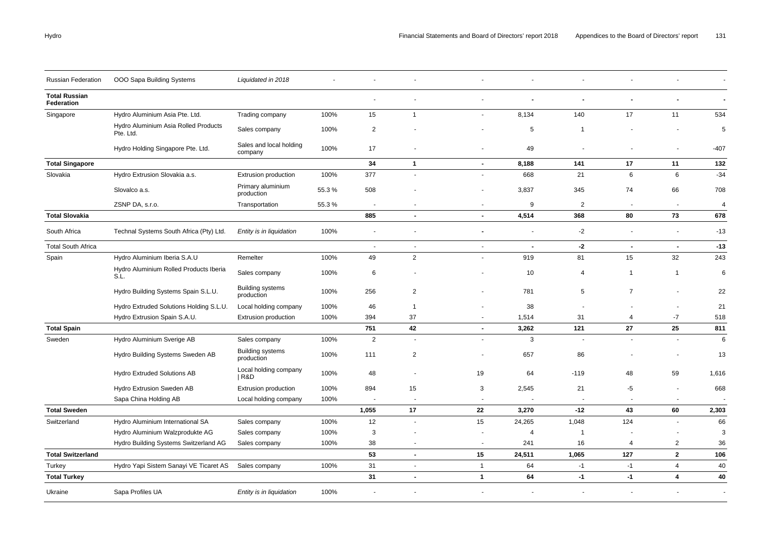| Russian Federation                 | OOO Sapa Building Systems                         | Liquidated in 2018                    |       |                          |                          |                |                |                |                |                         |                |
|------------------------------------|---------------------------------------------------|---------------------------------------|-------|--------------------------|--------------------------|----------------|----------------|----------------|----------------|-------------------------|----------------|
| <b>Total Russian</b><br>Federation |                                                   |                                       |       |                          |                          | ٠              |                | $\blacksquare$ |                |                         |                |
| Singapore                          | Hydro Aluminium Asia Pte. Ltd.                    | Trading company                       | 100%  | 15                       | $\mathbf{1}$             |                | 8,134          | 140            | 17             | 11                      | 534            |
|                                    | Hydro Aluminium Asia Rolled Products<br>Pte. Ltd. | Sales company                         | 100%  | $\overline{2}$           |                          |                | 5              | -1             |                |                         | 5              |
|                                    | Hydro Holding Singapore Pte. Ltd.                 | Sales and local holding<br>company    | 100%  | 17                       |                          | ٠              | 49             |                |                |                         | $-407$         |
| <b>Total Singapore</b>             |                                                   |                                       |       | 34                       | $\mathbf{1}$             | $\sim$         | 8,188          | 141            | 17             | 11                      | 132            |
| Slovakia                           | Hydro Extrusion Slovakia a.s.                     | <b>Extrusion production</b>           | 100%  | 377                      | $\overline{\phantom{a}}$ | $\blacksquare$ | 668            | 21             | 6              | 6                       | $-34$          |
|                                    | Slovalco a.s.                                     | Primary aluminium<br>production       | 55.3% | 508                      |                          | ٠              | 3,837          | 345            | 74             | 66                      | 708            |
|                                    | ZSNP DA, s.r.o.                                   | Transportation                        | 55.3% | $\overline{\phantom{a}}$ | $\overline{\phantom{a}}$ | $\blacksquare$ | 9              | $\overline{2}$ | $\blacksquare$ | $\blacksquare$          | $\overline{4}$ |
| <b>Total Slovakia</b>              |                                                   |                                       |       | 885                      | $\blacksquare$           | $\blacksquare$ | 4,514          | 368            | 80             | 73                      | 678            |
| South Africa                       | Technal Systems South Africa (Pty) Ltd.           | Entity is in liquidation              | 100%  |                          |                          | Ĭ.             |                | $-2$           | ä,             | ÷,                      | $-13$          |
| <b>Total South Africa</b>          |                                                   |                                       |       | $\sim$                   | $\mathbf{r}$             | $\blacksquare$ | $\blacksquare$ | $-2$           | $\blacksquare$ | $\blacksquare$          | $-13$          |
| Spain                              | Hydro Aluminium Iberia S.A.U                      | Remelter                              | 100%  | 49                       | $\overline{2}$           | L.             | 919            | 81             | 15             | 32                      | 243            |
|                                    | Hydro Aluminium Rolled Products Iberia<br>S.L.    | Sales company                         | 100%  | 6                        |                          |                | 10             | $\overline{4}$ | $\mathbf{1}$   | $\mathbf{1}$            | 6              |
|                                    | Hydro Building Systems Spain S.L.U.               | <b>Building systems</b><br>production | 100%  | 256                      | 2                        |                | 781            | 5              | $\overline{7}$ |                         | 22             |
|                                    | Hydro Extruded Solutions Holding S.L.U.           | Local holding company                 | 100%  | 46                       | $\overline{1}$           |                | 38             |                |                |                         | 21             |
|                                    | Hydro Extrusion Spain S.A.U.                      | <b>Extrusion production</b>           | 100%  | 394                      | 37                       | $\sim$         | 1,514          | 31             | $\overline{4}$ | $-7$                    | 518            |
| <b>Total Spain</b>                 |                                                   |                                       |       | 751                      | 42                       | $\blacksquare$ | 3,262          | 121            | 27             | 25                      | 811            |
| Sweden                             | Hydro Aluminium Sverige AB                        | Sales company                         | 100%  | $\overline{2}$           | $\overline{\phantom{a}}$ |                | 3              |                |                |                         | 6              |
|                                    | Hydro Building Systems Sweden AB                  | <b>Building systems</b><br>production | 100%  | 111                      | $\overline{2}$           |                | 657            | 86             |                |                         | 13             |
|                                    | Hydro Extruded Solutions AB                       | Local holding company<br>  R&D        | 100%  | 48                       | $\overline{\phantom{a}}$ | 19             | 64             | $-119$         | 48             | 59                      | 1,616          |
|                                    | Hydro Extrusion Sweden AB                         | Extrusion production                  | 100%  | 894                      | 15                       | 3              | 2,545          | 21             | -5             | $\blacksquare$          | 668            |
|                                    | Sapa China Holding AB                             | Local holding company                 | 100%  |                          |                          |                |                |                |                |                         |                |
| <b>Total Sweden</b>                |                                                   |                                       |       | 1,055                    | 17                       | 22             | 3,270          | $-12$          | 43             | 60                      | 2,303          |
| Switzerland                        | Hydro Aluminium International SA                  | Sales company                         | 100%  | 12                       | $\sim$                   | 15             | 24,265         | 1,048          | 124            | $\sim$                  | 66             |
|                                    | Hydro Aluminium Walzprodukte AG                   | Sales company                         | 100%  | 3                        | $\overline{\phantom{a}}$ | $\blacksquare$ | $\overline{4}$ | -1             |                |                         | 3              |
|                                    | Hydro Building Systems Switzerland AG             | Sales company                         | 100%  | 38                       | $\overline{\phantom{a}}$ | $\overline{a}$ | 241            | 16             | $\overline{4}$ | $\overline{2}$          | 36             |
| <b>Total Switzerland</b>           |                                                   |                                       |       | 53                       | $\blacksquare$           | 15             | 24,511         | 1,065          | 127            | $\overline{2}$          | 106            |
| Turkey                             | Hydro Yapi Sistem Sanayi VE Ticaret AS            | Sales company                         | 100%  | 31                       | $\sim$                   | $\overline{1}$ | 64             | $-1$           | $-1$           | $\overline{4}$          | 40             |
| <b>Total Turkey</b>                |                                                   |                                       |       | 31                       | $\blacksquare$           | $\mathbf{1}$   | 64             | $-1$           | $-1$           | $\overline{\mathbf{4}}$ | 40             |
| Ukraine                            | Sapa Profiles UA                                  | Entity is in liquidation              | 100%  |                          | $\sim$                   |                |                |                |                |                         | $\sim$         |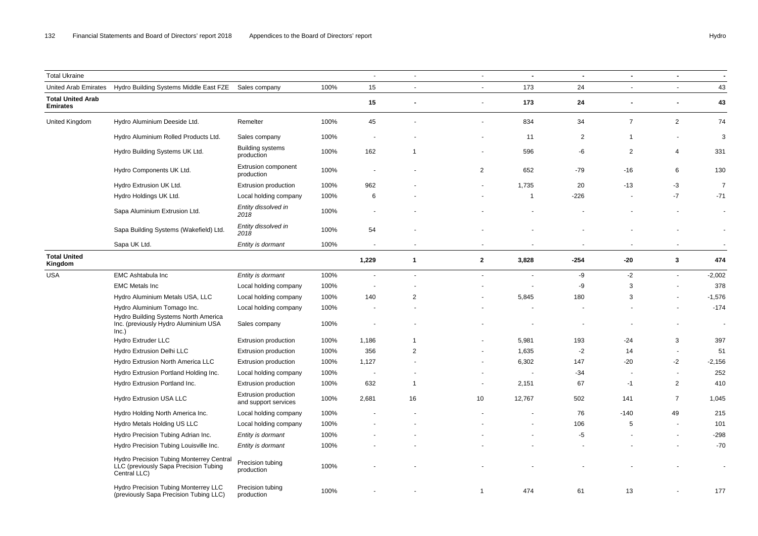| <b>Total Ukraine</b>                        |                                                                                                   |                                              |      | $\sim$                   | $\blacksquare$ | $\blacksquare$ | $\blacksquare$ | $\blacksquare$ | $\blacksquare$           | $\blacksquare$           | $\blacksquare$ |
|---------------------------------------------|---------------------------------------------------------------------------------------------------|----------------------------------------------|------|--------------------------|----------------|----------------|----------------|----------------|--------------------------|--------------------------|----------------|
| United Arab Emirates                        | Hydro Building Systems Middle East FZE                                                            | Sales company                                | 100% | 15                       | $\blacksquare$ | $\blacksquare$ | 173            | 24             | $\sim$                   | $\blacksquare$           | 43             |
| <b>Total United Arab</b><br><b>Emirates</b> |                                                                                                   |                                              |      | 15                       | $\blacksquare$ | $\blacksquare$ | 173            | 24             |                          | $\blacksquare$           | 43             |
| United Kingdom                              | Hydro Aluminium Deeside Ltd.                                                                      | Remelter                                     | 100% | 45                       |                |                | 834            | 34             | $\overline{7}$           | $\overline{2}$           | 74             |
|                                             | Hydro Aluminium Rolled Products Ltd.                                                              | Sales company                                | 100% |                          |                |                | 11             | $\overline{2}$ | $\overline{1}$           | $\overline{\phantom{a}}$ | 3              |
|                                             | Hydro Building Systems UK Ltd.                                                                    | <b>Building systems</b><br>production        | 100% | 162                      | -1             |                | 596            | -6             | $\overline{2}$           | $\overline{4}$           | 331            |
|                                             | Hydro Components UK Ltd.                                                                          | <b>Extrusion component</b><br>production     | 100% |                          |                | 2              | 652            | $-79$          | $-16$                    | 6                        | 130            |
|                                             | Hydro Extrusion UK Ltd.                                                                           | <b>Extrusion production</b>                  | 100% | 962                      |                |                | 1,735          | 20             | $-13$                    | $-3$                     | $\overline{7}$ |
|                                             | Hydro Holdings UK Ltd.                                                                            | Local holding company                        | 100% | 6                        |                |                | $\overline{1}$ | $-226$         |                          | $-7$                     | $-71$          |
|                                             | Sapa Aluminium Extrusion Ltd.                                                                     | Entity dissolved in<br>2018                  | 100% |                          |                |                |                |                |                          |                          | $\blacksquare$ |
|                                             | Sapa Building Systems (Wakefield) Ltd.                                                            | Entity dissolved in<br>2018                  | 100% | 54                       |                |                |                |                |                          |                          | $\blacksquare$ |
|                                             | Sapa UK Ltd.                                                                                      | Entity is dormant                            | 100% | $\sim$                   | $\blacksquare$ | $\blacksquare$ | $\blacksquare$ | $\sim$         | $\overline{\phantom{a}}$ | $\blacksquare$           | $\sim$         |
| <b>Total United</b><br>Kingdom              |                                                                                                   |                                              |      | 1,229                    | $\mathbf{1}$   | $\mathbf{2}$   | 3,828          | $-254$         | $-20$                    | 3                        | 474            |
| <b>USA</b>                                  | <b>EMC Ashtabula Inc</b>                                                                          | Entity is dormant                            | 100% |                          | $\blacksquare$ | $\blacksquare$ | ä,             | -9             | $-2$                     | $\sim$                   | $-2,002$       |
|                                             | <b>EMC Metals Inc</b>                                                                             | Local holding company                        | 100% | $\overline{\phantom{a}}$ |                |                | $\sim$         | -9             | 3                        | $\sim$                   | 378            |
|                                             | Hydro Aluminium Metals USA, LLC                                                                   | Local holding company                        | 100% | 140                      | $\overline{2}$ |                | 5,845          | 180            | 3                        |                          | $-1,576$       |
|                                             | Hydro Aluminium Tomago Inc.<br>Hydro Building Systems North America                               | Local holding company                        | 100% |                          |                |                |                |                |                          |                          | $-174$         |
|                                             | Inc. (previously Hydro Aluminium USA<br>Inc.)                                                     | Sales company                                | 100% |                          |                |                |                |                |                          | $\overline{\phantom{a}}$ | $\blacksquare$ |
|                                             | Hydro Extruder LLC                                                                                | Extrusion production                         | 100% | 1,186                    | $\mathbf 1$    |                | 5,981          | 193            | $-24$                    | 3                        | 397            |
|                                             | Hydro Extrusion Delhi LLC                                                                         | Extrusion production                         | 100% | 356                      | $\overline{2}$ |                | 1,635          | $-2$           | 14                       | $\sim$                   | 51             |
|                                             | Hydro Extrusion North America LLC                                                                 | Extrusion production                         | 100% | 1,127                    |                |                | 6,302          | 147            | $-20$                    | $-2$                     | $-2,156$       |
|                                             | Hydro Extrusion Portland Holding Inc.                                                             | Local holding company                        | 100% | $\overline{\phantom{a}}$ |                | $\overline{a}$ | $\sim$         | $-34$          |                          | $\sim$                   | 252            |
|                                             | Hydro Extrusion Portland Inc.                                                                     | Extrusion production                         | 100% | 632                      | $\mathbf 1$    | $\blacksquare$ | 2,151          | 67             | $-1$                     | 2                        | 410            |
|                                             | Hydro Extrusion USA LLC                                                                           | Extrusion production<br>and support services | 100% | 2,681                    | 16             | 10             | 12,767         | 502            | 141                      | $\overline{7}$           | 1,045          |
|                                             | Hydro Holding North America Inc.                                                                  | Local holding company                        | 100% |                          |                |                |                | 76             | $-140$                   | 49                       | 215            |
|                                             | Hydro Metals Holding US LLC                                                                       | Local holding company                        | 100% |                          |                |                |                | 106            | 5                        | $\sim$                   | 101            |
|                                             | Hydro Precision Tubing Adrian Inc.                                                                | Entity is dormant                            | 100% |                          |                |                |                | -5             |                          | $\overline{a}$           | $-298$         |
|                                             | Hydro Precision Tubing Louisville Inc.                                                            | Entity is dormant                            | 100% |                          |                |                |                |                |                          |                          | $-70$          |
|                                             | Hydro Precision Tubing Monterrey Central<br>LLC (previously Sapa Precision Tubing<br>Central LLC) | Precision tubing<br>production               | 100% |                          |                |                |                |                |                          |                          |                |
|                                             | Hydro Precision Tubing Monterrey LLC<br>(previously Sapa Precision Tubing LLC)                    | Precision tubing<br>production               | 100% |                          |                |                | 474            | 61             | 13                       |                          | 177            |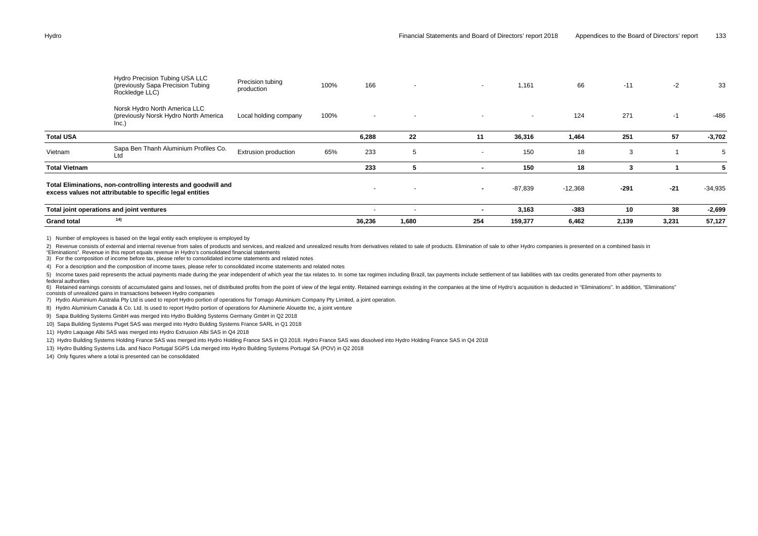|                      | Hydro Precision Tubing USA LLC<br>(previously Sapa Precision Tubing<br>Rockledge LLC)                                       | Precision tubing<br>production | 100% | 166                      | $\sim$                   | $\sim$ | 1,161   | 66        | $-11$  | $-2$  | 33        |
|----------------------|-----------------------------------------------------------------------------------------------------------------------------|--------------------------------|------|--------------------------|--------------------------|--------|---------|-----------|--------|-------|-----------|
|                      | Norsk Hydro North America LLC<br>(previously Norsk Hydro North America<br>Inc.)                                             | Local holding company          | 100% | $\sim$                   | $\overline{\phantom{a}}$ | $\sim$ | $\sim$  | 124       | 271    | $-1$  | $-486$    |
| <b>Total USA</b>     |                                                                                                                             |                                |      | 6,288                    | 22                       | 11     | 36,316  | 1,464     | 251    | 57    | $-3,702$  |
| Vietnam              | Sapa Ben Thanh Aluminium Profiles Co.<br>Ltd                                                                                | Extrusion production           | 65%  | 233                      | 5                        | $\sim$ | 150     | 18        | 3      |       | 5         |
| <b>Total Vietnam</b> |                                                                                                                             |                                |      | 233                      | 5                        |        | 150     | 18        | 3      |       | 5         |
|                      | Total Eliminations, non-controlling interests and goodwill and<br>excess values not attributable to specific legal entities |                                |      | $\overline{\phantom{0}}$ | $\overline{\phantom{a}}$ | $\sim$ | -87,839 | $-12,368$ | $-291$ | $-21$ | $-34,935$ |
|                      | Total joint operations and joint ventures                                                                                   |                                |      | $\sim$                   | $\overline{\phantom{a}}$ |        | 3,163   | $-383$    | 10     | 38    | $-2,699$  |
| <b>Grand total</b>   | 14)                                                                                                                         |                                |      | 36,236                   | 1,680                    | 254    | 159,377 | 6,462     | 2,139  | 3,231 | 57,127    |

1) Number of employees is based on the legal entity each employee is employed by

2) Revenue consists of external and internal revenue from sales of products and services, and realized and unrealized results from derivatives related to sale of products. Elimination of sale to other Hydro companies is pr "Eliminations". Revenue in this report equals revenue in Hydro's consolidated financial statements

3) For the composition of income before tax, please refer to consolidated income statements and related notes

4) For a description and the composition of income taxes, please refer to consolidated income statements and related notes

5) Income taxes paid represents the actual payments made during the year independent of which year the tax relates to. In some tax regimes including Brazil, tax payments include settlement of tax liabilities with tax credi federal authorities

6) Retained earnings consists of accumulated gains and losses, net of distributed profits from the point of view of the legal entity. Retained earnings existing in the companies at the time of Hydro's acquisition is deduct consists of unrealized gains in transactions between Hydro companies

7) Hydro Aluminium Australia Pty Ltd is used to report Hydro portion of operations for Tomago Aluminium Company Pty Limited, a joint operation.

8) Hydro Aluminium Canada & Co. Ltd. Is used to report Hydro portion of operations for Aluminerie Alouette Inc, a joint venture

9) Sapa Building Systems GmbH was merged into Hydro Building Systems Germany GmbH in Q2 2018

10) Sapa Building Systems Puget SAS was merged into Hydro Bulding Systems France SARL in Q1 2018

11) Hydro Laquage Albi SAS was merged into Hydro Extrusion Albi SAS in Q4 2018

12) Hydro Building Systems Holding France SAS was merged into Hydro Holding France SAS in Q3 2018. Hydro France SAS was dissolved into Hydro Holding France SAS in Q4 2018

13) Hydro Building Systems Lda. and Naco Portugal SGPS Lda merged into Hydro Building Systems Portugal SA (POV) in Q2 2018

14) Only figures where a total is presented can be consolidated